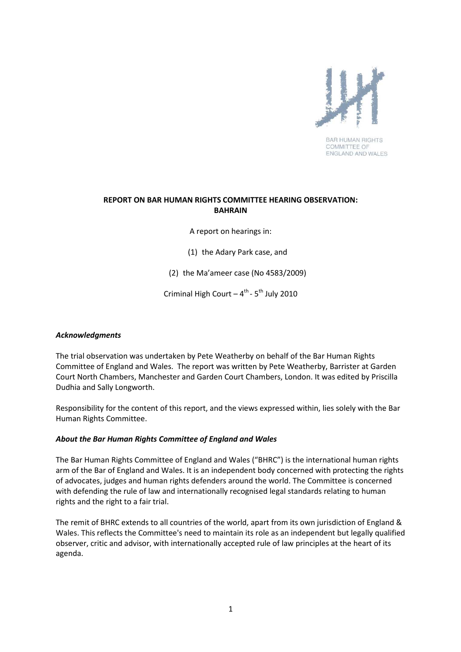

**BAR HUMAN RIGHTS** COMMITTEE OF ENGLAND AND WALES

## **REPORT ON BAR HUMAN RIGHTS COMMITTEE HEARING OBSERVATION: BAHRAIN**

A report on hearings in:

(1) the Adary Park case, and

(2) the Ma'ameer case (No 4583/2009)

Criminal High Court –  $4^{th}$  -  $5^{th}$  July 2010

#### *Acknowledgments*

The trial observation was undertaken by Pete Weatherby on behalf of the Bar Human Rights Committee of England and Wales. The report was written by Pete Weatherby, Barrister at Garden Court North Chambers, Manchester and Garden Court Chambers, London. It was edited by Priscilla Dudhia and Sally Longworth.

Responsibility for the content of this report, and the views expressed within, lies solely with the Bar Human Rights Committee.

#### *About the Bar Human Rights Committee of England and Wales*

The Bar Human Rights Committee of England and Wales ("BHRC") is the international human rights arm of the Bar of England and Wales. It is an independent body concerned with protecting the rights of advocates, judges and human rights defenders around the world. The Committee is concerned with defending the rule of law and internationally recognised legal standards relating to human rights and the right to a fair trial.

The remit of BHRC extends to all countries of the world, apart from its own jurisdiction of England & Wales. This reflects the Committee's need to maintain its role as an independent but legally qualified observer, critic and advisor, with internationally accepted rule of law principles at the heart of its agenda.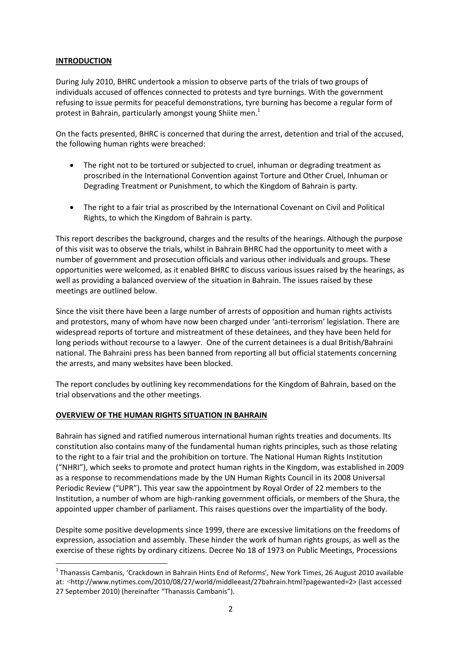## **INTRODUCTION**

 $\overline{a}$ 

During July 2010, BHRC undertook a mission to observe parts of the trials of two groups of individuals accused of offences connected to protests and tyre burnings. With the government refusing to issue permits for peaceful demonstrations, tyre burning has become a regular form of protest in Bahrain, particularly amongst young Shiite men.<sup>1</sup>

On the facts presented, BHRC is concerned that during the arrest, detention and trial of the accused, the following human rights were breached:

- The right not to be tortured or subjected to cruel, inhuman or degrading treatment as proscribed in the International Convention against Torture and Other Cruel, Inhuman or Degrading Treatment or Punishment, to which the Kingdom of Bahrain is party.
- The right to a fair trial as proscribed by the International Covenant on Civil and Political Rights, to which the Kingdom of Bahrain is party.

This report describes the background, charges and the results of the hearings. Although the purpose of this visit was to observe the trials, whilst in Bahrain BHRC had the opportunity to meet with a number of government and prosecution officials and various other individuals and groups. These opportunities were welcomed, as it enabled BHRC to discuss various issues raised by the hearings, as well as providing a balanced overview of the situation in Bahrain. The issues raised by these meetings are outlined below.

Since the visit there have been a large number of arrests of opposition and human rights activists and protestors, many of whom have now been charged under 'anti-terrorism' legislation. There are widespread reports of torture and mistreatment of these detainees, and they have been held for long periods without recourse to a lawyer. One of the current detainees is a dual British/Bahraini national. The Bahraini press has been banned from reporting all but official statements concerning the arrests, and many websites have been blocked.

The report concludes by outlining key recommendations for the Kingdom of Bahrain, based on the trial observations and the other meetings.

#### **OVERVIEW OF THE HUMAN RIGHTS SITUATION IN BAHRAIN**

Bahrain has signed and ratified numerous international human rights treaties and documents. Its constitution also contains many of the fundamental human rights principles, such as those relating to the right to a fair trial and the prohibition on torture. The National Human Rights Institution ("NHRI"), which seeks to promote and protect human rights in the Kingdom, was established in 2009 as a response to recommendations made by the UN Human Rights Council in its 2008 Universal Periodic Review ("UPR"). This year saw the appointment by Royal Order of 22 members to the Institution, a number of whom are high-ranking government officials, or members of the Shura, the appointed upper chamber of parliament. This raises questions over the impartiality of the body.

Despite some positive developments since 1999, there are excessive limitations on the freedoms of expression, association and assembly. These hinder the work of human rights groups, as well as the exercise of these rights by ordinary citizens. Decree No 18 of 1973 on Public Meetings, Processions

<sup>1</sup> Thanassis Cambanis, 'Crackdown in Bahrain Hints End of Reforms'*,* New York Times, 26 August 2010 available at: *<*http://www.nytimes.com/2010/08/27/world/middleeast/27bahrain.html?pagewanted=2> (last accessed 27 September 2010) (hereinafter "Thanassis Cambanis").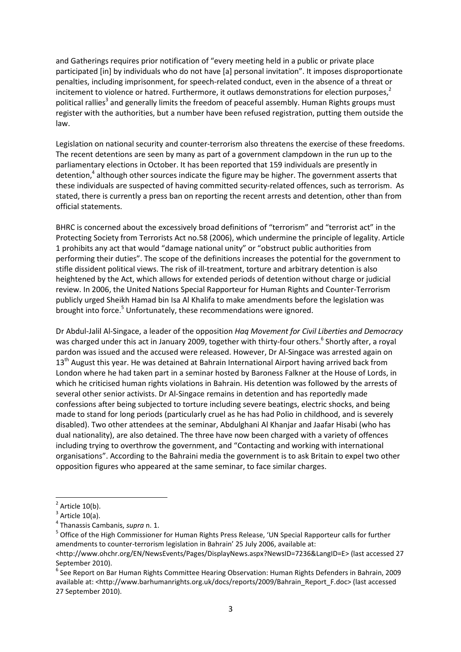and Gatherings requires prior notification of "every meeting held in a public or private place participated [in] by individuals who do not have [a] personal invitation". It imposes disproportionate penalties, including imprisonment, for speech-related conduct, even in the absence of a threat or incitement to violence or hatred. Furthermore, it outlaws demonstrations for election purposes, $<sup>2</sup>$ </sup> political rallies<sup>3</sup> and generally limits the freedom of peaceful assembly. Human Rights groups must register with the authorities, but a number have been refused registration, putting them outside the law.

Legislation on national security and counter-terrorism also threatens the exercise of these freedoms. The recent detentions are seen by many as part of a government clampdown in the run up to the parliamentary elections in October. It has been reported that 159 individuals are presently in detention,<sup>4</sup> although other sources indicate the figure may be higher. The government asserts that these individuals are suspected of having committed security-related offences, such as terrorism. As stated, there is currently a press ban on reporting the recent arrests and detention, other than from official statements.

BHRC is concerned about the excessively broad definitions of "terrorism" and "terrorist act" in the Protecting Society from Terrorists Act no.58 (2006), which undermine the principle of legality. Article 1 prohibits any act that would "damage national unity" or "obstruct public authorities from performing their duties". The scope of the definitions increases the potential for the government to stifle dissident political views. The risk of ill-treatment, torture and arbitrary detention is also heightened by the Act, which allows for extended periods of detention without charge or judicial review. In 2006, the United Nations Special Rapporteur for Human Rights and Counter-Terrorism publicly urged Sheikh Hamad bin Isa Al Khalifa to make amendments before the legislation was brought into force.<sup>5</sup> Unfortunately, these recommendations were ignored.

Dr Abdul-Jalil Al-Singace, a leader of the opposition *Haq Movement for Civil Liberties and Democracy* was charged under this act in January 2009, together with thirty-four others.<sup>6</sup> Shortly after, a royal pardon was issued and the accused were released. However, Dr Al-Singace was arrested again on 13<sup>th</sup> August this year. He was detained at Bahrain International Airport having arrived back from London where he had taken part in a seminar hosted by Baroness Falkner at the House of Lords, in which he criticised human rights violations in Bahrain. His detention was followed by the arrests of several other senior activists. Dr Al-Singace remains in detention and has reportedly made confessions after being subjected to torture including severe beatings, electric shocks, and being made to stand for long periods (particularly cruel as he has had Polio in childhood, and is severely disabled). Two other attendees at the seminar, Abdulghani Al Khanjar and Jaafar Hisabi (who has dual nationality), are also detained. The three have now been charged with a variety of offences including trying to overthrow the government, and "Contacting and working with international organisations". According to the Bahraini media the government is to ask Britain to expel two other opposition figures who appeared at the same seminar, to face similar charges.

 $\overline{a}$ 

<sup>2</sup> Article 10(b).

<sup>3</sup> Article 10(a).

<sup>4</sup> Thanassis Cambanis, *supra* n. 1.

<sup>&</sup>lt;sup>5</sup> Office of the High Commissioner for Human Rights Press Release, 'UN Special Rapporteur calls for further amendments to counter-terrorism legislation in Bahrain' 25 July 2006, available at:

<sup>&</sup>lt;http://www.ohchr.org/EN/NewsEvents/Pages/DisplayNews.aspx?NewsID=7236&LangID=E> (last accessed 27 September 2010).

<sup>&</sup>lt;sup>6</sup> See Report on Bar Human Rights Committee Hearing Observation: Human Rights Defenders in Bahrain, 2009 available at: <http://www.barhumanrights.org.uk/docs/reports/2009/Bahrain\_Report\_F.doc> (last accessed 27 September 2010).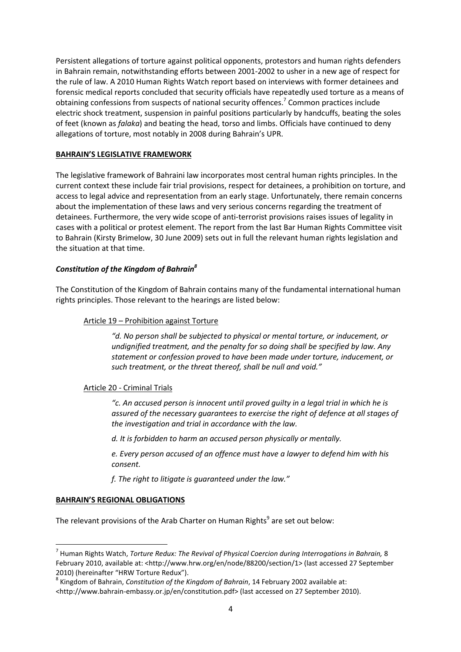Persistent allegations of torture against political opponents, protestors and human rights defenders in Bahrain remain, notwithstanding efforts between 2001-2002 to usher in a new age of respect for the rule of law. A 2010 Human Rights Watch report based on interviews with former detainees and forensic medical reports concluded that security officials have repeatedly used torture as a means of obtaining confessions from suspects of national security offences.<sup>7</sup> Common practices include electric shock treatment, suspension in painful positions particularly by handcuffs, beating the soles of feet (known as *falaka*) and beating the head, torso and limbs. Officials have continued to deny allegations of torture, most notably in 2008 during Bahrain's UPR.

# **BAHRAIN'S LEGISLATIVE FRAMEWORK**

The legislative framework of Bahraini law incorporates most central human rights principles. In the current context these include fair trial provisions, respect for detainees, a prohibition on torture, and access to legal advice and representation from an early stage. Unfortunately, there remain concerns about the implementation of these laws and very serious concerns regarding the treatment of detainees. Furthermore, the very wide scope of anti-terrorist provisions raises issues of legality in cases with a political or protest element. The report from the last Bar Human Rights Committee visit to Bahrain (Kirsty Brimelow, 30 June 2009) sets out in full the relevant human rights legislation and the situation at that time.

# *Constitution of the Kingdom of Bahrain<sup>8</sup>*

The Constitution of the Kingdom of Bahrain contains many of the fundamental international human rights principles. Those relevant to the hearings are listed below:

# Article 19 – Prohibition against Torture

*"d. No person shall be subjected to physical or mental torture, or inducement, or undignified treatment, and the penalty for so doing shall be specified by law. Any statement or confession proved to have been made under torture, inducement, or such treatment, or the threat thereof, shall be null and void."* 

# Article 20 - Criminal Trials

*"c. An accused person is innocent until proved guilty in a legal trial in which he is assured of the necessary guarantees to exercise the right of defence at all stages of the investigation and trial in accordance with the law.* 

*d. It is forbidden to harm an accused person physically or mentally.* 

*e. Every person accused of an offence must have a lawyer to defend him with his consent.* 

*f. The right to litigate is guaranteed under the law."* 

# **BAHRAIN'S REGIONAL OBLIGATIONS**

l

The relevant provisions of the Arab Charter on Human Rights $^9$  $^9$  are set out below:

<sup>&</sup>lt;sup>7</sup> Human Rights Watch, *Torture Redux: The Revival of Physical Coercion during Interrogations in Bahrain, 8* February 2010, available at: <http://www.hrw.org/en/node/88200/section/1> (last accessed 27 September 2010) (hereinafter "HRW Torture Redux").

<sup>8</sup> Kingdom of Bahrain, *Constitution of the Kingdom of Bahrain*, 14 February 2002 available at:

<sup>&</sup>lt;http://www.bahrain-embassy.or.jp/en/constitution.pdf> (last accessed on 27 September 2010).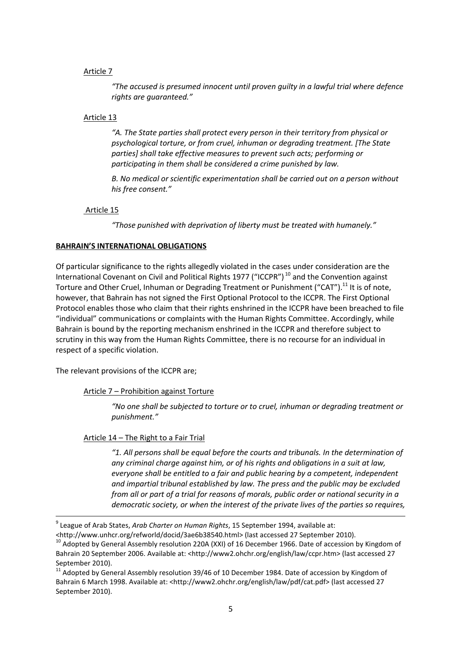#### <span id="page-4-0"></span>Article 7

*"The accused is presumed innocent until proven guilty in a lawful trial where defence rights are guaranteed."* 

#### Article 13

*"A. The State parties shall protect every person in their territory from physical or psychological torture, or from cruel, inhuman or degrading treatment. [The State parties] shall take effective measures to prevent such acts; performing or participating in them shall be considered a crime punished by law.* 

*B. No medical or scientific experimentation shall be carried out on a person without his free consent."* 

#### Article 15

*"Those punished with deprivation of liberty must be treated with humanely."* 

#### **BAHRAIN'S INTERNATIONAL OBLIGATIONS**

Of particular significance to the rights allegedly violated in the cases under consideration are the International Covenant on Civil and Political Rights 1977 ("ICCPR")<sup>10</sup> and the Convention against Torture and Other Cruel, Inhuman or Degrading Treatment or Punishment ("CAT").<sup>11</sup> It is of note, however, that Bahrain has not signed the First Optional Protocol to the ICCPR. The First Optional Protocol enables those who claim that their rights enshrined in the ICCPR have been breached to file "individual" communications or complaints with the Human Rights Committee. Accordingly, while Bahrain is bound by the reporting mechanism enshrined in the ICCPR and therefore subject to scrutiny in this way from the Human Rights Committee, there is no recourse for an individual in respect of a specific violation.

The relevant provisions of the ICCPR are;

 $\overline{a}$ 

Article 7 – Prohibition against Torture

*"No one shall be subjected to torture or to cruel, inhuman or degrading treatment or punishment."* 

Article 14 – The Right to a Fair Trial

*"1. All persons shall be equal before the courts and tribunals. In the determination of any criminal charge against him, or of his rights and obligations in a suit at law, everyone shall be entitled to a fair and public hearing by a competent, independent and impartial tribunal established by law. The press and the public may be excluded from all or part of a trial for reasons of morals, public order or national security in a democratic society, or when the interest of the private lives of the parties so requires,* 

<http://www.unhcr.org/refworld/docid/3ae6b38540.html> (last accessed 27 September 2010).

<sup>9</sup> League of Arab States, *Arab Charter on Human Rights*, 15 September 1994, available at:

<sup>&</sup>lt;sup>10</sup> Adopted by General Assembly resolution 220A (XXI) of 16 December 1966. Date of accession by Kingdom of Bahrain 20 September 2006. Available at: <http://www2.ohchr.org/english/law/ccpr.htm> (last accessed 27 September 2010).

 $11$  Adopted by General Assembly resolution 39/46 of 10 December 1984. Date of accession by Kingdom of Bahrain 6 March 1998. Available at: <http://www2.ohchr.org/english/law/pdf/cat.pdf> (last accessed 27 September 2010).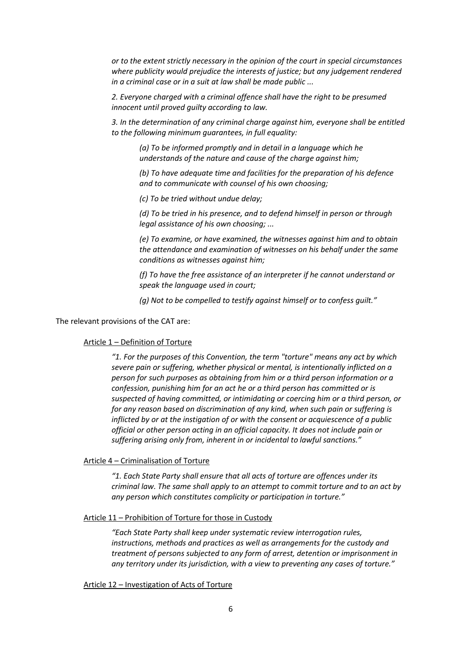*or to the extent strictly necessary in the opinion of the court in special circumstances where publicity would prejudice the interests of justice; but any judgement rendered in a criminal case or in a suit at law shall be made public ...* 

*2. Everyone charged with a criminal offence shall have the right to be presumed innocent until proved guilty according to law.* 

*3. In the determination of any criminal charge against him, everyone shall be entitled to the following minimum guarantees, in full equality:* 

*(a) To be informed promptly and in detail in a language which he understands of the nature and cause of the charge against him;* 

*(b) To have adequate time and facilities for the preparation of his defence and to communicate with counsel of his own choosing;* 

*(c) To be tried without undue delay;* 

*(d) To be tried in his presence, and to defend himself in person or through legal assistance of his own choosing; ...* 

*(e) To examine, or have examined, the witnesses against him and to obtain the attendance and examination of witnesses on his behalf under the same conditions as witnesses against him;* 

*(f) To have the free assistance of an interpreter if he cannot understand or speak the language used in court;* 

*(g) Not to be compelled to testify against himself or to confess guilt."* 

The relevant provisions of the CAT are:

#### Article 1 – Definition of Torture

*"1. For the purposes of this Convention, the term "torture" means any act by which severe pain or suffering, whether physical or mental, is intentionally inflicted on a person for such purposes as obtaining from him or a third person information or a confession, punishing him for an act he or a third person has committed or is suspected of having committed, or intimidating or coercing him or a third person, or for any reason based on discrimination of any kind, when such pain or suffering is inflicted by or at the instigation of or with the consent or acquiescence of a public official or other person acting in an official capacity. It does not include pain or suffering arising only from, inherent in or incidental to lawful sanctions."* 

Article 4 – Criminalisation of Torture

*"1. Each State Party shall ensure that all acts of torture are offences under its criminal law. The same shall apply to an attempt to commit torture and to an act by any person which constitutes complicity or participation in torture."* 

#### Article 11 – Prohibition of Torture for those in Custody

*"Each State Party shall keep under systematic review interrogation rules, instructions, methods and practices as well as arrangements for the custody and treatment of persons subjected to any form of arrest, detention or imprisonment in any territory under its jurisdiction, with a view to preventing any cases of torture."* 

#### Article 12 – Investigation of Acts of Torture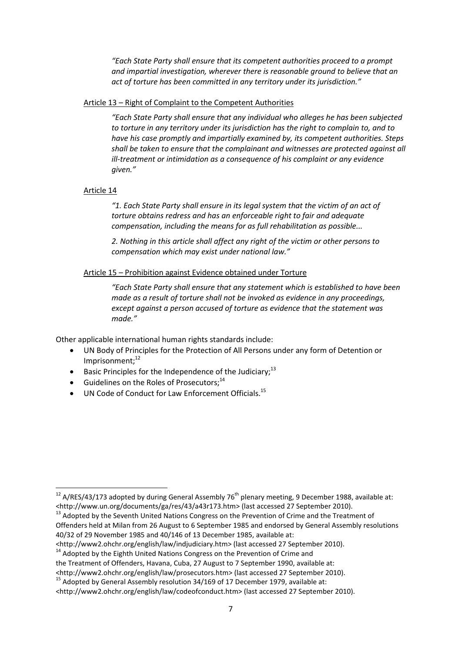*"Each State Party shall ensure that its competent authorities proceed to a prompt and impartial investigation, wherever there is reasonable ground to believe that an act of torture has been committed in any territory under its jurisdiction."* 

## Article 13 – Right of Complaint to the Competent Authorities

*"Each State Party shall ensure that any individual who alleges he has been subjected to torture in any territory under its jurisdiction has the right to complain to, and to have his case promptly and impartially examined by, its competent authorities. Steps shall be taken to ensure that the complainant and witnesses are protected against all ill-treatment or intimidation as a consequence of his complaint or any evidence given."* 

# Article 14

 $\overline{\phantom{0}}$ 

*"1. Each State Party shall ensure in its legal system that the victim of an act of torture obtains redress and has an enforceable right to fair and adequate compensation, including the means for as full rehabilitation as possible...* 

*2. Nothing in this article shall affect any right of the victim or other persons to compensation which may exist under national law."* 

# Article 15 – Prohibition against Evidence obtained under Torture

*"Each State Party shall ensure that any statement which is established to have been made as a result of torture shall not be invoked as evidence in any proceedings, except against a person accused of torture as evidence that the statement was made."* 

Other applicable international human rights standards include:

- UN Body of Principles for the Protection of All Persons under any form of Detention or Imprisonment; $12$
- Basic Principles for the Independence of the Judiciary;<sup>13</sup>
- Guidelines on the Roles of Prosecutors: $14$
- UN Code of Conduct for Law Enforcement Officials.<sup>15</sup>

<sup>&</sup>lt;sup>12</sup> A/RES/43/173 adopted by during General Assembly 76<sup>th</sup> plenary meeting, 9 December 1988, available at: <http://www.un.org/documents/ga/res/43/a43r173.htm> (last accessed 27 September 2010).

<sup>&</sup>lt;sup>13</sup> Adopted by the Seventh United Nations Congress on the Prevention of Crime and the Treatment of Offenders held at Milan from 26 August to 6 September 1985 and endorsed by General Assembly resolutions 40/32 of 29 November 1985 and 40/146 of 13 December 1985, available at:

<sup>&</sup>lt;http://www2.ohchr.org/english/law/indjudiciary.htm> (last accessed 27 September 2010).

<sup>&</sup>lt;sup>14</sup> Adopted by the Eighth United Nations Congress on the Prevention of Crime and

the Treatment of Offenders, Havana, Cuba, 27 August to 7 September 1990, available at:

<sup>&</sup>lt;http://www2.ohchr.org/english/law/prosecutors.htm> (last accessed 27 September 2010).

 $15$  Adopted by General Assembly resolution 34/169 of 17 December 1979, available at:

<sup>&</sup>lt;http://www2.ohchr.org/english/law/codeofconduct.htm> (last accessed 27 September 2010).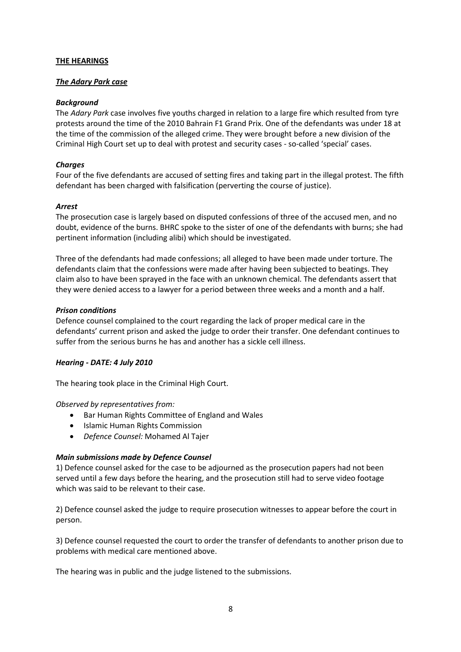## **THE HEARINGS**

#### *The Adary Park case*

## *Background*

The *Adary Park* case involves five youths charged in relation to a large fire which resulted from tyre protests around the time of the 2010 Bahrain F1 Grand Prix. One of the defendants was under 18 at the time of the commission of the alleged crime. They were brought before a new division of the Criminal High Court set up to deal with protest and security cases - so-called 'special' cases.

## *Charges*

Four of the five defendants are accused of setting fires and taking part in the illegal protest. The fifth defendant has been charged with falsification (perverting the course of justice).

#### *Arrest*

The prosecution case is largely based on disputed confessions of three of the accused men, and no doubt, evidence of the burns. BHRC spoke to the sister of one of the defendants with burns; she had pertinent information (including alibi) which should be investigated.

Three of the defendants had made confessions; all alleged to have been made under torture. The defendants claim that the confessions were made after having been subjected to beatings. They claim also to have been sprayed in the face with an unknown chemical. The defendants assert that they were denied access to a lawyer for a period between three weeks and a month and a half.

# *Prison conditions*

Defence counsel complained to the court regarding the lack of proper medical care in the defendants' current prison and asked the judge to order their transfer. One defendant continues to suffer from the serious burns he has and another has a sickle cell illness.

# *Hearing - DATE: 4 July 2010*

The hearing took place in the Criminal High Court.

# *Observed by representatives from:*

- Bar Human Rights Committee of England and Wales
- Islamic Human Rights Commission
- *Defence Counsel:* Mohamed Al Tajer

# *Main submissions made by Defence Counsel*

1) Defence counsel asked for the case to be adjourned as the prosecution papers had not been served until a few days before the hearing, and the prosecution still had to serve video footage which was said to be relevant to their case.

2) Defence counsel asked the judge to require prosecution witnesses to appear before the court in person.

3) Defence counsel requested the court to order the transfer of defendants to another prison due to problems with medical care mentioned above.

The hearing was in public and the judge listened to the submissions.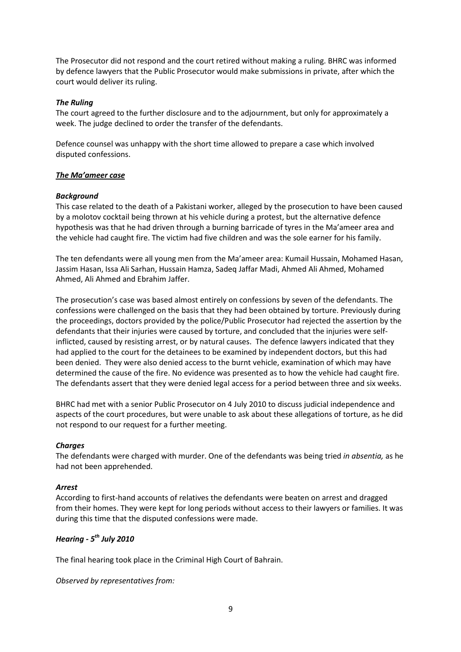The Prosecutor did not respond and the court retired without making a ruling. BHRC was informed by defence lawyers that the Public Prosecutor would make submissions in private, after which the court would deliver its ruling.

## *The Ruling*

The court agreed to the further disclosure and to the adjournment, but only for approximately a week. The judge declined to order the transfer of the defendants.

Defence counsel was unhappy with the short time allowed to prepare a case which involved disputed confessions.

# *The Ma'ameer case*

# *Background*

This case related to the death of a Pakistani worker, alleged by the prosecution to have been caused by a molotov cocktail being thrown at his vehicle during a protest, but the alternative defence hypothesis was that he had driven through a burning barricade of tyres in the Ma'ameer area and the vehicle had caught fire. The victim had five children and was the sole earner for his family.

The ten defendants were all young men from the Ma'ameer area: Kumail Hussain, Mohamed Hasan, Jassim Hasan, Issa Ali Sarhan, Hussain Hamza, Sadeq Jaffar Madi, Ahmed Ali Ahmed, Mohamed Ahmed, Ali Ahmed and Ebrahim Jaffer.

The prosecution's case was based almost entirely on confessions by seven of the defendants. The confessions were challenged on the basis that they had been obtained by torture. Previously during the proceedings, doctors provided by the police/Public Prosecutor had rejected the assertion by the defendants that their injuries were caused by torture, and concluded that the injuries were selfinflicted, caused by resisting arrest, or by natural causes. The defence lawyers indicated that they had applied to the court for the detainees to be examined by independent doctors, but this had been denied. They were also denied access to the burnt vehicle, examination of which may have determined the cause of the fire. No evidence was presented as to how the vehicle had caught fire. The defendants assert that they were denied legal access for a period between three and six weeks.

BHRC had met with a senior Public Prosecutor on 4 July 2010 to discuss judicial independence and aspects of the court procedures, but were unable to ask about these allegations of torture, as he did not respond to our request for a further meeting.

#### *Charges*

The defendants were charged with murder. One of the defendants was being tried *in absentia,* as he had not been apprehended.

#### *Arrest*

According to first-hand accounts of relatives the defendants were beaten on arrest and dragged from their homes. They were kept for long periods without access to their lawyers or families. It was during this time that the disputed confessions were made.

# *Hearing - 5th July 2010*

The final hearing took place in the Criminal High Court of Bahrain.

*Observed by representatives from:*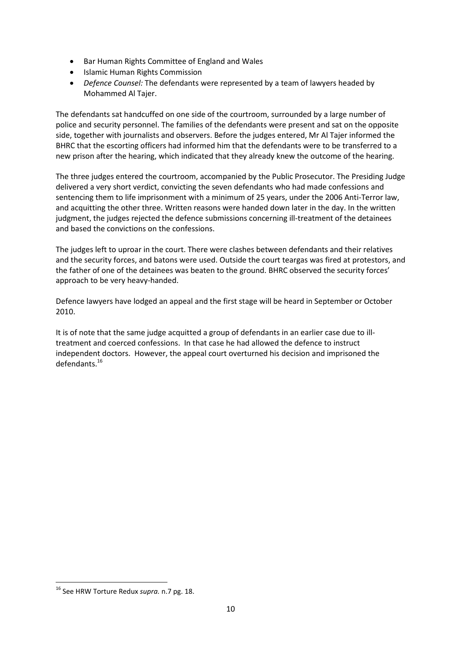- Bar Human Rights Committee of England and Wales
- Islamic Human Rights Commission
- *Defence Counsel:* The defendants were represented by a team of lawyers headed by Mohammed Al Tajer.

The defendants sat handcuffed on one side of the courtroom, surrounded by a large number of police and security personnel. The families of the defendants were present and sat on the opposite side, together with journalists and observers. Before the judges entered, Mr Al Tajer informed the BHRC that the escorting officers had informed him that the defendants were to be transferred to a new prison after the hearing, which indicated that they already knew the outcome of the hearing.

The three judges entered the courtroom, accompanied by the Public Prosecutor. The Presiding Judge delivered a very short verdict, convicting the seven defendants who had made confessions and sentencing them to life imprisonment with a minimum of 25 years, under the 2006 Anti-Terror law, and acquitting the other three. Written reasons were handed down later in the day. In the written judgment, the judges rejected the defence submissions concerning ill-treatment of the detainees and based the convictions on the confessions.

The judges left to uproar in the court. There were clashes between defendants and their relatives and the security forces, and batons were used. Outside the court teargas was fired at protestors, and the father of one of the detainees was beaten to the ground. BHRC observed the security forces' approach to be very heavy-handed.

Defence lawyers have lodged an appeal and the first stage will be heard in September or October 2010.

It is of note that the same judge acquitted a group of defendants in an earlier case due to illtreatment and coerced confessions. In that case he had allowed the defence to instruct independent doctors. However, the appeal court overturned his decision and imprisoned the defendants.<sup>16</sup>

l

<sup>16</sup> See HRW Torture Redux *supra.* n.7 pg. 18.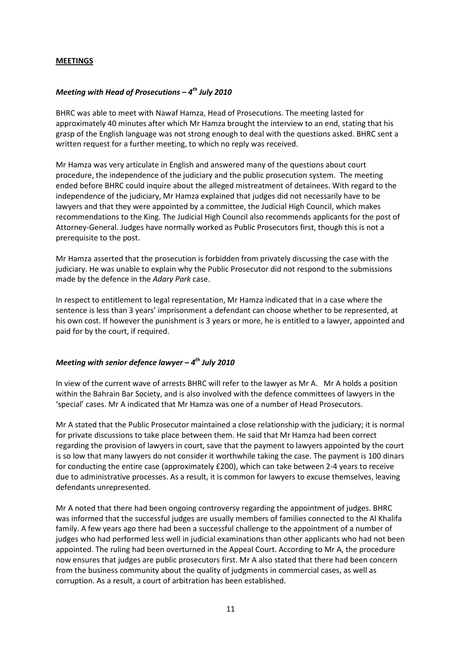#### **MEETINGS**

# *Meeting with Head of Prosecutions – 4th July 2010*

BHRC was able to meet with Nawaf Hamza, Head of Prosecutions. The meeting lasted for approximately 40 minutes after which Mr Hamza brought the interview to an end, stating that his grasp of the English language was not strong enough to deal with the questions asked. BHRC sent a written request for a further meeting, to which no reply was received.

Mr Hamza was very articulate in English and answered many of the questions about court procedure, the independence of the judiciary and the public prosecution system. The meeting ended before BHRC could inquire about the alleged mistreatment of detainees. With regard to the independence of the judiciary, Mr Hamza explained that judges did not necessarily have to be lawyers and that they were appointed by a committee, the Judicial High Council, which makes recommendations to the King. The Judicial High Council also recommends applicants for the post of Attorney-General. Judges have normally worked as Public Prosecutors first, though this is not a prerequisite to the post.

Mr Hamza asserted that the prosecution is forbidden from privately discussing the case with the judiciary. He was unable to explain why the Public Prosecutor did not respond to the submissions made by the defence in the *Adary Park* case.

In respect to entitlement to legal representation, Mr Hamza indicated that in a case where the sentence is less than 3 years' imprisonment a defendant can choose whether to be represented, at his own cost. If however the punishment is 3 years or more, he is entitled to a lawyer, appointed and paid for by the court, if required.

#### *Meeting with senior defence lawyer – 4th July 2010*

In view of the current wave of arrests BHRC will refer to the lawyer as Mr A. Mr A holds a position within the Bahrain Bar Society, and is also involved with the defence committees of lawyers in the 'special' cases. Mr A indicated that Mr Hamza was one of a number of Head Prosecutors.

Mr A stated that the Public Prosecutor maintained a close relationship with the judiciary; it is normal for private discussions to take place between them. He said that Mr Hamza had been correct regarding the provision of lawyers in court, save that the payment to lawyers appointed by the court is so low that many lawyers do not consider it worthwhile taking the case. The payment is 100 dinars for conducting the entire case (approximately £200), which can take between 2-4 years to receive due to administrative processes. As a result, it is common for lawyers to excuse themselves, leaving defendants unrepresented.

Mr A noted that there had been ongoing controversy regarding the appointment of judges. BHRC was informed that the successful judges are usually members of families connected to the Al Khalifa family. A few years ago there had been a successful challenge to the appointment of a number of judges who had performed less well in judicial examinations than other applicants who had not been appointed. The ruling had been overturned in the Appeal Court. According to Mr A, the procedure now ensures that judges are public prosecutors first. Mr A also stated that there had been concern from the business community about the quality of judgments in commercial cases, as well as corruption. As a result, a court of arbitration has been established.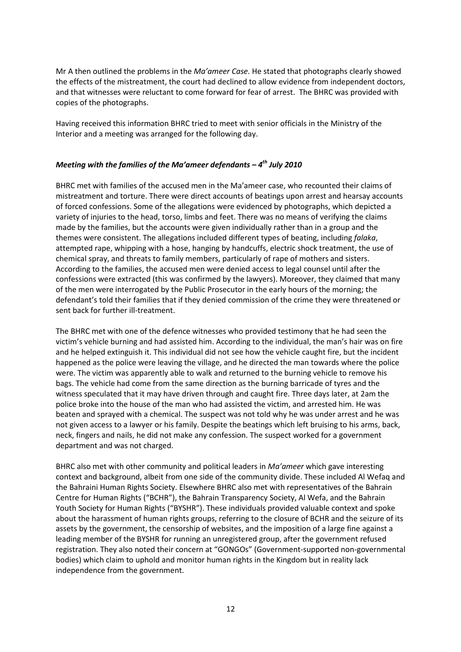Mr A then outlined the problems in the *Ma'ameer Case*. He stated that photographs clearly showed the effects of the mistreatment, the court had declined to allow evidence from independent doctors, and that witnesses were reluctant to come forward for fear of arrest. The BHRC was provided with copies of the photographs.

Having received this information BHRC tried to meet with senior officials in the Ministry of the Interior and a meeting was arranged for the following day.

# *Meeting with the families of the Ma'ameer defendants – 4th July 2010*

BHRC met with families of the accused men in the Ma'ameer case, who recounted their claims of mistreatment and torture. There were direct accounts of beatings upon arrest and hearsay accounts of forced confessions. Some of the allegations were evidenced by photographs, which depicted a variety of injuries to the head, torso, limbs and feet. There was no means of verifying the claims made by the families, but the accounts were given individually rather than in a group and the themes were consistent. The allegations included different types of beating, including *falaka*, attempted rape, whipping with a hose, hanging by handcuffs, electric shock treatment, the use of chemical spray, and threats to family members, particularly of rape of mothers and sisters. According to the families, the accused men were denied access to legal counsel until after the confessions were extracted (this was confirmed by the lawyers). Moreover, they claimed that many of the men were interrogated by the Public Prosecutor in the early hours of the morning; the defendant's told their families that if they denied commission of the crime they were threatened or sent back for further ill-treatment.

The BHRC met with one of the defence witnesses who provided testimony that he had seen the victim's vehicle burning and had assisted him. According to the individual, the man's hair was on fire and he helped extinguish it. This individual did not see how the vehicle caught fire, but the incident happened as the police were leaving the village, and he directed the man towards where the police were. The victim was apparently able to walk and returned to the burning vehicle to remove his bags. The vehicle had come from the same direction as the burning barricade of tyres and the witness speculated that it may have driven through and caught fire. Three days later, at 2am the police broke into the house of the man who had assisted the victim, and arrested him. He was beaten and sprayed with a chemical. The suspect was not told why he was under arrest and he was not given access to a lawyer or his family. Despite the beatings which left bruising to his arms, back, neck, fingers and nails, he did not make any confession. The suspect worked for a government department and was not charged.

BHRC also met with other community and political leaders in *Ma'ameer* which gave interesting context and background, albeit from one side of the community divide. These included Al Wefaq and the Bahraini Human Rights Society. Elsewhere BHRC also met with representatives of the Bahrain Centre for Human Rights ("BCHR"), the Bahrain Transparency Society, Al Wefa, and the Bahrain Youth Society for Human Rights ("BYSHR"). These individuals provided valuable context and spoke about the harassment of human rights groups, referring to the closure of BCHR and the seizure of its assets by the government, the censorship of websites, and the imposition of a large fine against a leading member of the BYSHR for running an unregistered group, after the government refused registration. They also noted their concern at "GONGOs" (Government-supported non-governmental bodies) which claim to uphold and monitor human rights in the Kingdom but in reality lack independence from the government.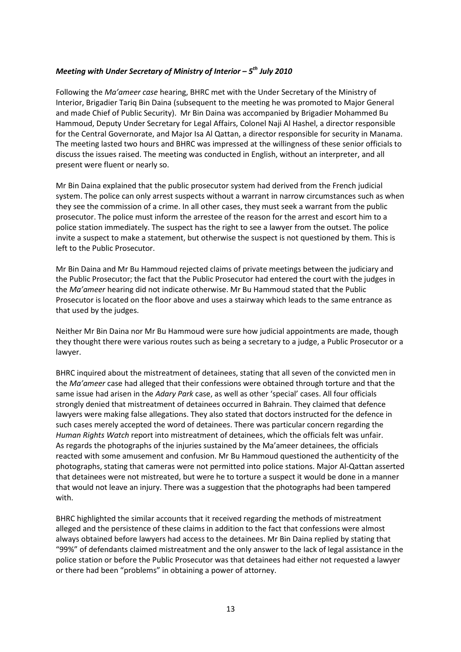# *Meeting with Under Secretary of Ministry of Interior – 5th July 2010*

Following the *Ma'ameer case* hearing, BHRC met with the Under Secretary of the Ministry of Interior, Brigadier Tariq Bin Daina (subsequent to the meeting he was promoted to Major General and made Chief of Public Security). Mr Bin Daina was accompanied by Brigadier Mohammed Bu Hammoud, Deputy Under Secretary for Legal Affairs, Colonel Naji Al Hashel, a director responsible for the Central Governorate, and Major Isa Al Qattan, a director responsible for security in Manama. The meeting lasted two hours and BHRC was impressed at the willingness of these senior officials to discuss the issues raised. The meeting was conducted in English, without an interpreter, and all present were fluent or nearly so.

Mr Bin Daina explained that the public prosecutor system had derived from the French judicial system. The police can only arrest suspects without a warrant in narrow circumstances such as when they see the commission of a crime. In all other cases, they must seek a warrant from the public prosecutor. The police must inform the arrestee of the reason for the arrest and escort him to a police station immediately. The suspect has the right to see a lawyer from the outset. The police invite a suspect to make a statement, but otherwise the suspect is not questioned by them. This is left to the Public Prosecutor.

Mr Bin Daina and Mr Bu Hammoud rejected claims of private meetings between the judiciary and the Public Prosecutor; the fact that the Public Prosecutor had entered the court with the judges in the *Ma'ameer* hearing did not indicate otherwise. Mr Bu Hammoud stated that the Public Prosecutor is located on the floor above and uses a stairway which leads to the same entrance as that used by the judges.

Neither Mr Bin Daina nor Mr Bu Hammoud were sure how judicial appointments are made, though they thought there were various routes such as being a secretary to a judge, a Public Prosecutor or a lawyer.

BHRC inquired about the mistreatment of detainees, stating that all seven of the convicted men in the *Ma'ameer* case had alleged that their confessions were obtained through torture and that the same issue had arisen in the *Adary Park* case, as well as other 'special' cases. All four officials strongly denied that mistreatment of detainees occurred in Bahrain. They claimed that defence lawyers were making false allegations. They also stated that doctors instructed for the defence in such cases merely accepted the word of detainees. There was particular concern regarding the *Human Rights Watch* report into mistreatment of detainees, which the officials felt was unfair. As regards the photographs of the injuries sustained by the Ma'ameer detainees, the officials reacted with some amusement and confusion. Mr Bu Hammoud questioned the authenticity of the photographs, stating that cameras were not permitted into police stations. Major Al-Qattan asserted that detainees were not mistreated, but were he to torture a suspect it would be done in a manner that would not leave an injury. There was a suggestion that the photographs had been tampered with.

BHRC highlighted the similar accounts that it received regarding the methods of mistreatment alleged and the persistence of these claims in addition to the fact that confessions were almost always obtained before lawyers had access to the detainees. Mr Bin Daina replied by stating that "99%" of defendants claimed mistreatment and the only answer to the lack of legal assistance in the police station or before the Public Prosecutor was that detainees had either not requested a lawyer or there had been "problems" in obtaining a power of attorney.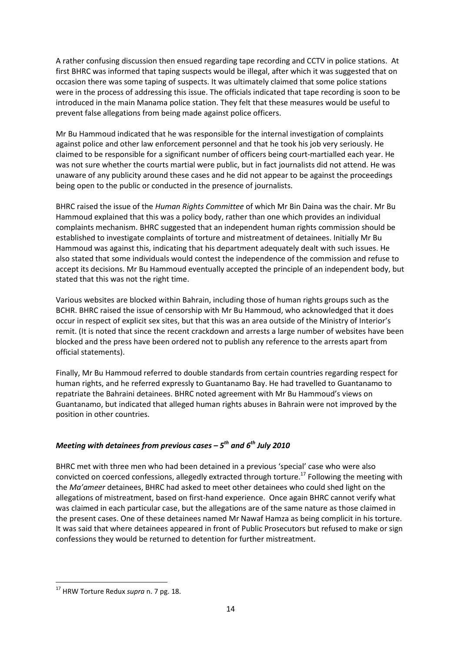A rather confusing discussion then ensued regarding tape recording and CCTV in police stations. At first BHRC was informed that taping suspects would be illegal, after which it was suggested that on occasion there was some taping of suspects. It was ultimately claimed that some police stations were in the process of addressing this issue. The officials indicated that tape recording is soon to be introduced in the main Manama police station. They felt that these measures would be useful to prevent false allegations from being made against police officers.

Mr Bu Hammoud indicated that he was responsible for the internal investigation of complaints against police and other law enforcement personnel and that he took his job very seriously. He claimed to be responsible for a significant number of officers being court-martialled each year. He was not sure whether the courts martial were public, but in fact journalists did not attend. He was unaware of any publicity around these cases and he did not appear to be against the proceedings being open to the public or conducted in the presence of journalists.

BHRC raised the issue of the *Human Rights Committee* of which Mr Bin Daina was the chair. Mr Bu Hammoud explained that this was a policy body, rather than one which provides an individual complaints mechanism. BHRC suggested that an independent human rights commission should be established to investigate complaints of torture and mistreatment of detainees. Initially Mr Bu Hammoud was against this, indicating that his department adequately dealt with such issues. He also stated that some individuals would contest the independence of the commission and refuse to accept its decisions. Mr Bu Hammoud eventually accepted the principle of an independent body, but stated that this was not the right time.

Various websites are blocked within Bahrain, including those of human rights groups such as the BCHR. BHRC raised the issue of censorship with Mr Bu Hammoud, who acknowledged that it does occur in respect of explicit sex sites, but that this was an area outside of the Ministry of Interior's remit. (It is noted that since the recent crackdown and arrests a large number of websites have been blocked and the press have been ordered not to publish any reference to the arrests apart from official statements).

Finally, Mr Bu Hammoud referred to double standards from certain countries regarding respect for human rights, and he referred expressly to Guantanamo Bay. He had travelled to Guantanamo to repatriate the Bahraini detainees. BHRC noted agreement with Mr Bu Hammoud's views on Guantanamo, but indicated that alleged human rights abuses in Bahrain were not improved by the position in other countries.

# *Meeting with detainees from previous cases – 5th and 6th July 2010*

BHRC met with three men who had been detained in a previous 'special' case who were also convicted on coerced confessions, allegedly extracted through torture.<sup>17</sup> Following the meeting with the *Ma'ameer* detainees, BHRC had asked to meet other detainees who could shed light on the allegations of mistreatment, based on first-hand experience. Once again BHRC cannot verify what was claimed in each particular case, but the allegations are of the same nature as those claimed in the present cases. One of these detainees named Mr Nawaf Hamza as being complicit in his torture. It was said that where detainees appeared in front of Public Prosecutors but refused to make or sign confessions they would be returned to detention for further mistreatment.

l

<sup>17</sup> HRW Torture Redux *supra* n. 7 pg. 18.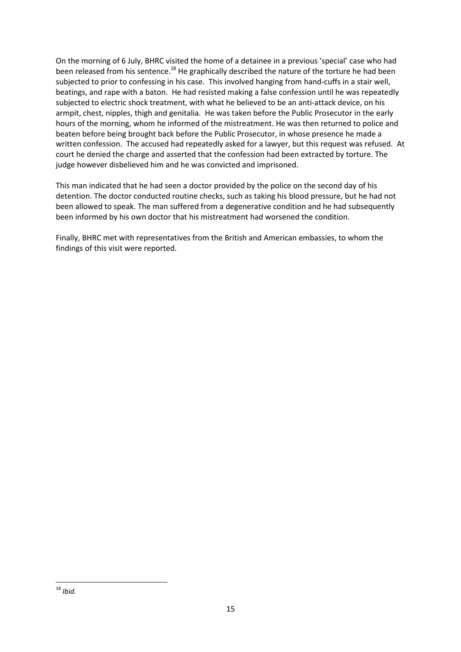On the morning of 6 July, BHRC visited the home of a detainee in a previous 'special' case who had been released from his sentence.<sup>18</sup> He graphically described the nature of the torture he had been subjected to prior to confessing in his case. This involved hanging from hand-cuffs in a stair well, beatings, and rape with a baton. He had resisted making a false confession until he was repeatedly subjected to electric shock treatment, with what he believed to be an anti-attack device, on his armpit, chest, nipples, thigh and genitalia. He was taken before the Public Prosecutor in the early hours of the morning, whom he informed of the mistreatment. He was then returned to police and beaten before being brought back before the Public Prosecutor, in whose presence he made a written confession. The accused had repeatedly asked for a lawyer, but this request was refused. At court he denied the charge and asserted that the confession had been extracted by torture. The judge however disbelieved him and he was convicted and imprisoned.

This man indicated that he had seen a doctor provided by the police on the second day of his detention. The doctor conducted routine checks, such as taking his blood pressure, but he had not been allowed to speak. The man suffered from a degenerative condition and he had subsequently been informed by his own doctor that his mistreatment had worsened the condition.

Finally, BHRC met with representatives from the British and American embassies, to whom the findings of this visit were reported.

l <sup>18</sup> *Ibid.*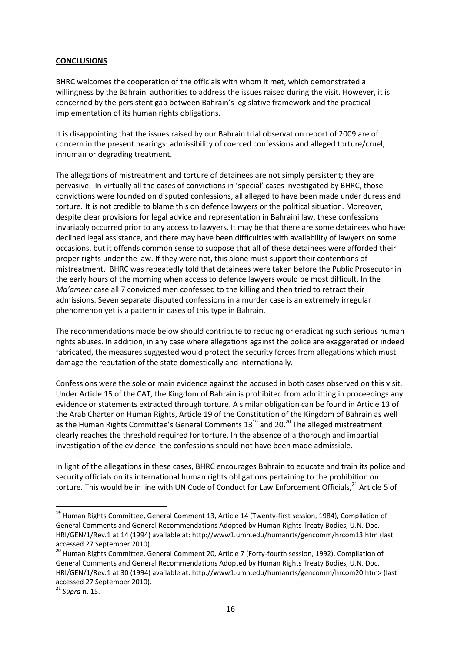#### **CONCLUSIONS**

BHRC welcomes the cooperation of the officials with whom it met, which demonstrated a willingness by the Bahraini authorities to address the issues raised during the visit. However, it is concerned by the persistent gap between Bahrain's legislative framework and the practical implementation of its human rights obligations.

It is disappointing that the issues raised by our Bahrain trial observation report of 2009 are of concern in the present hearings: admissibility of coerced confessions and alleged torture/cruel, inhuman or degrading treatment.

The allegations of mistreatment and torture of detainees are not simply persistent; they are pervasive. In virtually all the cases of convictions in 'special' cases investigated by BHRC, those convictions were founded on disputed confessions, all alleged to have been made under duress and torture. It is not credible to blame this on defence lawyers or the political situation. Moreover, despite clear provisions for legal advice and representation in Bahraini law, these confessions invariably occurred prior to any access to lawyers. It may be that there are some detainees who have declined legal assistance, and there may have been difficulties with availability of lawyers on some occasions, but it offends common sense to suppose that all of these detainees were afforded their proper rights under the law. If they were not, this alone must support their contentions of mistreatment. BHRC was repeatedly told that detainees were taken before the Public Prosecutor in the early hours of the morning when access to defence lawyers would be most difficult. In the *Ma'ameer* case all 7 convicted men confessed to the killing and then tried to retract their admissions. Seven separate disputed confessions in a murder case is an extremely irregular phenomenon yet is a pattern in cases of this type in Bahrain.

The recommendations made below should contribute to reducing or eradicating such serious human rights abuses. In addition, in any case where allegations against the police are exaggerated or indeed fabricated, the measures suggested would protect the security forces from allegations which must damage the reputation of the state domestically and internationally.

Confessions were the sole or main evidence against the accused in both cases observed on this visit. Under Article 15 of the CAT, the Kingdom of Bahrain is prohibited from admitting in proceedings any evidence or statements extracted through torture. A similar obligation can be found in Article 13 of the Arab Charter on Human Rights, Article 19 of the Constitution of the Kingdom of Bahrain as well as the Human Rights Committee's General Comments  $13^{19}$  and  $20.^{20}$  The alleged mistreatment clearly reaches the threshold required for torture. In the absence of a thorough and impartial investigation of the evidence, the confessions should not have been made admissible.

In light of the allegations in these cases, BHRC encourages Bahrain to educate and train its police and security officials on its international human rights obligations pertaining to the prohibition on torture. This would be in line with UN Code of Conduct for Law Enforcement Officials.<sup>21</sup> Article 5 of

 $\overline{\phantom{0}}$ 

**<sup>19</sup>** Human Rights Committee, General Comment 13, Article 14 (Twenty-first session, 1984), Compilation of General Comments and General Recommendations Adopted by Human Rights Treaty Bodies, U.N. Doc. HRI/GEN/1/Rev.1 at 14 (1994) available at: http://www1.umn.edu/humanrts/gencomm/hrcom13.htm (last accessed 27 September 2010).

**<sup>20</sup>** Human Rights Committee, General Comment 20, Article 7 (Forty-fourth session, 1992), Compilation of General Comments and General Recommendations Adopted by Human Rights Treaty Bodies, U.N. Doc. HRI/GEN/1/Rev.1 at 30 (1994) available at: http://www1.umn.edu/humanrts/gencomm/hrcom20.htm> (last accessed 27 September 2010).

<sup>21</sup> *Supra* n. 15.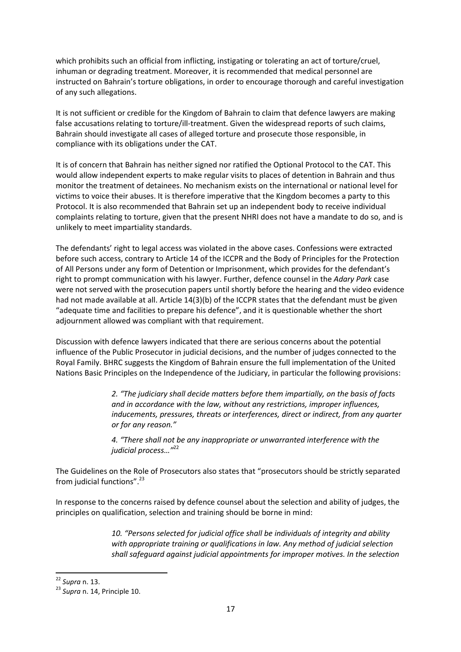which prohibits such an official from inflicting, instigating or tolerating an act of torture/cruel, inhuman or degrading treatment. Moreover, it is recommended that medical personnel are instructed on Bahrain's torture obligations, in order to encourage thorough and careful investigation of any such allegations.

It is not sufficient or credible for the Kingdom of Bahrain to claim that defence lawyers are making false accusations relating to torture/ill-treatment. Given the widespread reports of such claims, Bahrain should investigate all cases of alleged torture and prosecute those responsible, in compliance with its obligations under the CAT.

It is of concern that Bahrain has neither signed nor ratified the Optional Protocol to the CAT. This would allow independent experts to make regular visits to places of detention in Bahrain and thus monitor the treatment of detainees. No mechanism exists on the international or national level for victims to voice their abuses. It is therefore imperative that the Kingdom becomes a party to this Protocol. It is also recommended that Bahrain set up an independent body to receive individual complaints relating to torture, given that the present NHRI does not have a mandate to do so, and is unlikely to meet impartiality standards.

The defendants' right to legal access was violated in the above cases. Confessions were extracted before such access, contrary to Article 14 of the ICCPR and the Body of Principles for the Protection of All Persons under any form of Detention or Imprisonment, which provides for the defendant's right to prompt communication with his lawyer. Further, defence counsel in the *Adary Park* case were not served with the prosecution papers until shortly before the hearing and the video evidence had not made available at all. Article 14(3)(b) of the ICCPR states that the defendant must be given "adequate time and facilities to prepare his defence", and it is questionable whether the short adjournment allowed was compliant with that requirement.

Discussion with defence lawyers indicated that there are serious concerns about the potential influence of the Public Prosecutor in judicial decisions, and the number of judges connected to the Royal Family. BHRC suggests the Kingdom of Bahrain ensure the full implementation of the United Nations Basic Principles on the Independence of the Judiciary, in particular the following provisions:

> *2. "The judiciary shall decide matters before them impartially, on the basis of facts and in accordance with the law, without any restrictions, improper influences, inducements, pressures, threats or interferences, direct or indirect, from any quarter or for any reason."*

*4. "There shall not be any inappropriate or unwarranted interference with the judicial process…"*<sup>22</sup>

The Guidelines on the Role of Prosecutors also states that "prosecutors should be strictly separated from judicial functions".<sup>23</sup>

In response to the concerns raised by defence counsel about the selection and ability of judges, the principles on qualification, selection and training should be borne in mind:

> *10. "Persons selected for judicial office shall be individuals of integrity and ability with appropriate training or qualifications in law. Any method of judicial selection shall safeguard against judicial appointments for improper motives. In the selection*

 $\overline{\phantom{0}}$ 

<sup>22</sup> *Supra* n. 13.

<sup>23</sup> *Supra* n. 14, Principle 10.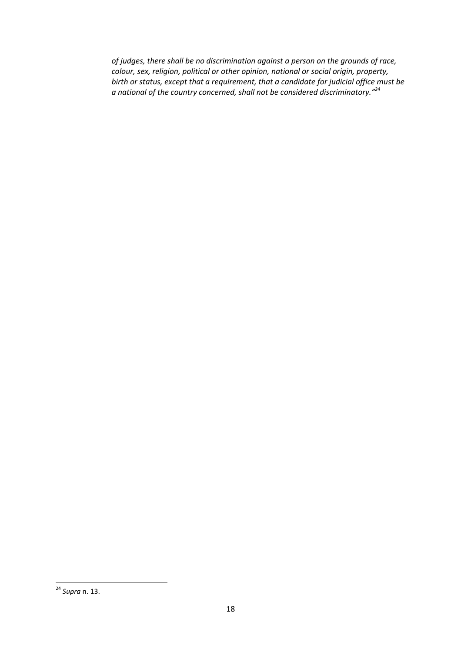*of judges, there shall be no discrimination against a person on the grounds of race, colour, sex, religion, political or other opinion, national or social origin, property, birth or status, except that a requirement, that a candidate for judicial office must be a national of the country concerned, shall not be considered discriminatory."<sup>24</sup>*

l <sup>24</sup> *Supra* n. 13.